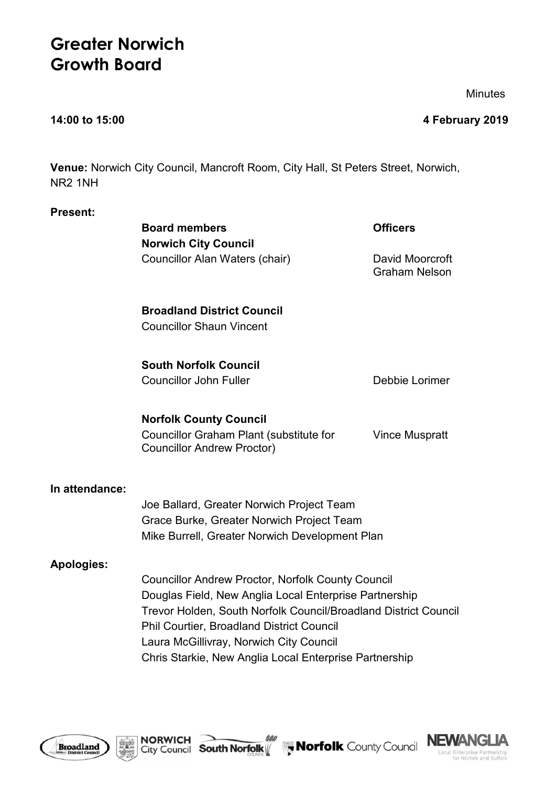# **Greater Norwich Growth Board**

**Minutes** 

**14:00 to 15:00 4 February 2019**

**Venue:** Norwich City Council, Mancroft Room, City Hall, St Peters Street, Norwich, NR2 1NH

### **Present:**

|                   | <b>Board members</b>                                                                                                | <b>Officers</b>                         |  |
|-------------------|---------------------------------------------------------------------------------------------------------------------|-----------------------------------------|--|
|                   | <b>Norwich City Council</b>                                                                                         |                                         |  |
|                   | Councillor Alan Waters (chair)                                                                                      | David Moorcroft<br><b>Graham Nelson</b> |  |
|                   | <b>Broadland District Council</b>                                                                                   |                                         |  |
|                   | <b>Councillor Shaun Vincent</b>                                                                                     |                                         |  |
|                   | <b>South Norfolk Council</b>                                                                                        |                                         |  |
|                   | <b>Councillor John Fuller</b>                                                                                       | Debbie Lorimer                          |  |
|                   | <b>Norfolk County Council</b>                                                                                       |                                         |  |
|                   | Councillor Graham Plant (substitute for<br><b>Councillor Andrew Proctor)</b>                                        | <b>Vince Muspratt</b>                   |  |
| In attendance:    |                                                                                                                     |                                         |  |
|                   | Joe Ballard, Greater Norwich Project Team                                                                           |                                         |  |
|                   | Grace Burke, Greater Norwich Project Team                                                                           |                                         |  |
|                   | Mike Burrell, Greater Norwich Development Plan                                                                      |                                         |  |
| <b>Apologies:</b> |                                                                                                                     |                                         |  |
|                   | <b>Councillor Andrew Proctor, Norfolk County Council</b>                                                            |                                         |  |
|                   | Douglas Field, New Anglia Local Enterprise Partnership                                                              |                                         |  |
|                   | Trevor Holden, South Norfolk Council/Broadland District Council<br><b>Phil Courtier, Broadland District Council</b> |                                         |  |
|                   | Laura McGillivray, Norwich City Council                                                                             |                                         |  |
|                   | Chris Starkie, New Anglia Local Enterprise Partnership                                                              |                                         |  |



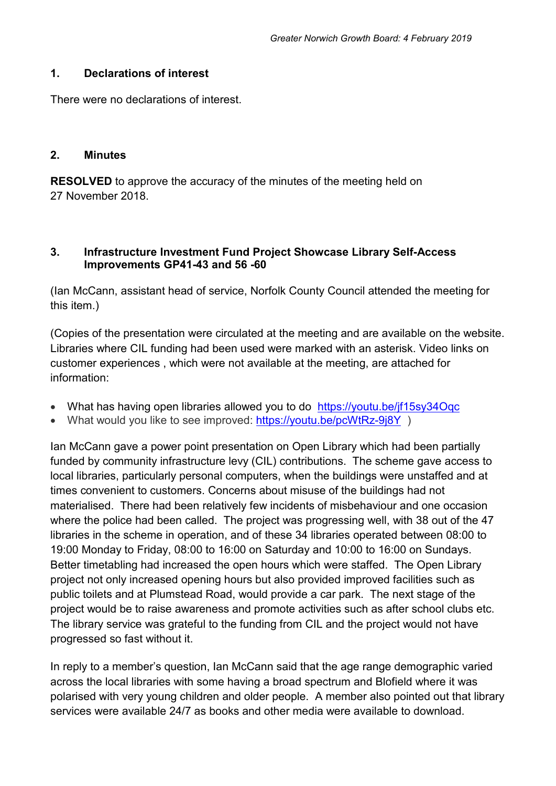### **1. Declarations of interest**

There were no declarations of interest.

### **2. Minutes**

**RESOLVED** to approve the accuracy of the minutes of the meeting held on 27 November 2018.

# **3. Infrastructure Investment Fund Project Showcase Library Self-Access Improvements GP41-43 and 56 -60**

(Ian McCann, assistant head of service, Norfolk County Council attended the meeting for this item.)

(Copies of the presentation were circulated at the meeting and are available on the website. Libraries where CIL funding had been used were marked with an asterisk. Video links on customer experiences , which were not available at the meeting, are attached for information:

- What has having open libraries allowed you to do https://youtu.be/if15sy34Oqc
- What would you like to see improved: https://youtu.be/pcWtRz-9j8Y)

Ian McCann gave a power point presentation on Open Library which had been partially funded by community infrastructure levy (CIL) contributions. The scheme gave access to local libraries, particularly personal computers, when the buildings were unstaffed and at times convenient to customers. Concerns about misuse of the buildings had not materialised. There had been relatively few incidents of misbehaviour and one occasion where the police had been called. The project was progressing well, with 38 out of the 47 libraries in the scheme in operation, and of these 34 libraries operated between 08:00 to 19:00 Monday to Friday, 08:00 to 16:00 on Saturday and 10:00 to 16:00 on Sundays. Better timetabling had increased the open hours which were staffed. The Open Library project not only increased opening hours but also provided improved facilities such as public toilets and at Plumstead Road, would provide a car park. The next stage of the project would be to raise awareness and promote activities such as after school clubs etc. The library service was grateful to the funding from CIL and the project would not have progressed so fast without it.

In reply to a member's question, Ian McCann said that the age range demographic varied across the local libraries with some having a broad spectrum and Blofield where it was polarised with very young children and older people. A member also pointed out that library services were available 24/7 as books and other media were available to download.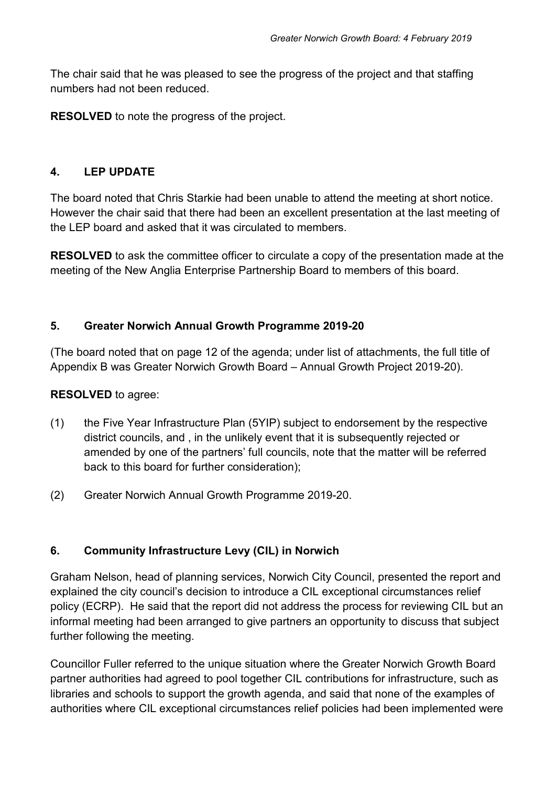The chair said that he was pleased to see the progress of the project and that staffing numbers had not been reduced.

**RESOLVED** to note the progress of the project.

# **4. LEP UPDATE**

The board noted that Chris Starkie had been unable to attend the meeting at short notice. However the chair said that there had been an excellent presentation at the last meeting of the LEP board and asked that it was circulated to members.

**RESOLVED** to ask the committee officer to circulate a copy of the presentation made at the meeting of the New Anglia Enterprise Partnership Board to members of this board.

# **5. Greater Norwich Annual Growth Programme 2019-20**

(The board noted that on page 12 of the agenda; under list of attachments, the full title of Appendix B was Greater Norwich Growth Board – Annual Growth Project 2019-20).

### **RESOLVED** to agree:

- (1) the Five Year Infrastructure Plan (5YIP) subject to endorsement by the respective district councils, and , in the unlikely event that it is subsequently rejected or amended by one of the partners' full councils, note that the matter will be referred back to this board for further consideration);
- (2) Greater Norwich Annual Growth Programme 2019-20.

# **6. Community Infrastructure Levy (CIL) in Norwich**

Graham Nelson, head of planning services, Norwich City Council, presented the report and explained the city council's decision to introduce a CIL exceptional circumstances relief policy (ECRP). He said that the report did not address the process for reviewing CIL but an informal meeting had been arranged to give partners an opportunity to discuss that subject further following the meeting.

Councillor Fuller referred to the unique situation where the Greater Norwich Growth Board partner authorities had agreed to pool together CIL contributions for infrastructure, such as libraries and schools to support the growth agenda, and said that none of the examples of authorities where CIL exceptional circumstances relief policies had been implemented were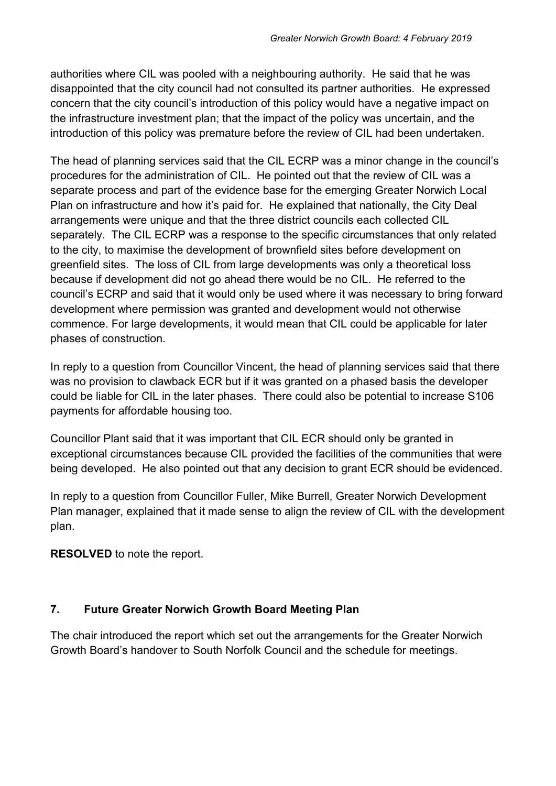authorities where CIL was pooled with a neighbouring authority. He said that he was disappointed that the city council had not consulted its partner authorities. He expressed concern that the city council's introduction of this policy would have a negative impact on the infrastructure investment plan; that the impact of the policy was uncertain, and the introduction of this policy was premature before the review of CIL had been undertaken.

The head of planning services said that the CIL ECRP was a minor change in the council's procedures for the administration of CIL. He pointed out that the review of CIL was a separate process and part of the evidence base for the emerging Greater Norwich Local Plan on infrastructure and how it's paid for. He explained that nationally, the City Deal arrangements were unique and that the three district councils each collected CIL separately. The CIL ECRP was a response to the specific circumstances that only related to the city, to maximise the development of brownfield sites before development on greenfield sites. The loss of CIL from large developments was only a theoretical loss because if development did not go ahead there would be no CIL. He referred to the council's ECRP and said that it would only be used where it was necessary to bring forward development where permission was granted and development would not otherwise commence. For large developments, it would mean that CIL could be applicable for later phases of construction.

In reply to a question from Councillor Vincent, the head of planning services said that there was no provision to clawback ECR but if it was granted on a phased basis the developer could be liable for CIL in the later phases. There could also be potential to increase S106 payments for affordable housing too.

Councillor Plant said that it was important that CIL ECR should only be granted in exceptional circumstances because CIL provided the facilities of the communities that were being developed. He also pointed out that any decision to grant ECR should be evidenced.

In reply to a question from Councillor Fuller, Mike Burrell, Greater Norwich Development Plan manager, explained that it made sense to align the review of CIL with the development plan.

**RESOLVED** to note the report.

# **7. Future Greater Norwich Growth Board Meeting Plan**

The chair introduced the report which set out the arrangements for the Greater Norwich Growth Board's handover to South Norfolk Council and the schedule for meetings.